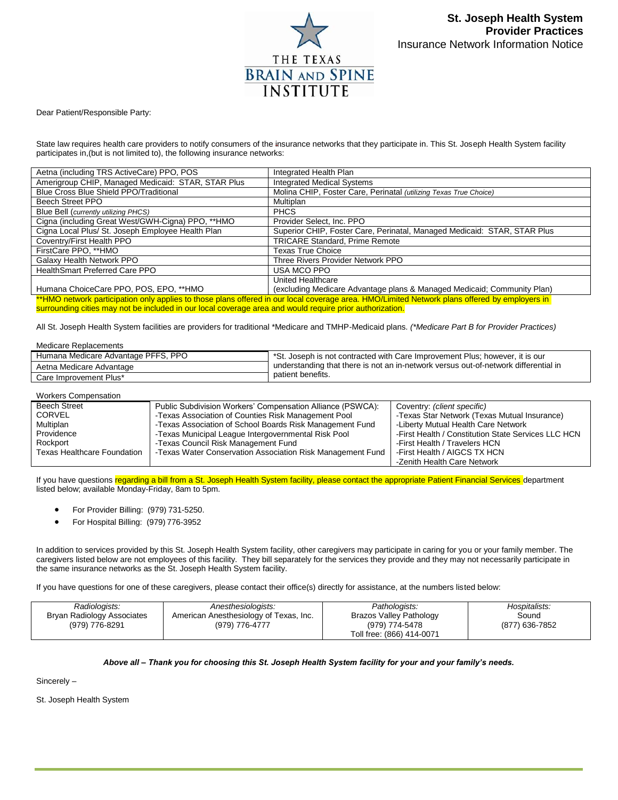

Dear Patient/Responsible Party:

State law requires health care providers to notify consumers of the insurance networks that they participate in. This St. Joseph Health System facility participates in,(but is not limited to), the following insurance networks:

| Aetna (including TRS ActiveCare) PPO, POS                                                                                                     | Integrated Health Plan                                                   |  |
|-----------------------------------------------------------------------------------------------------------------------------------------------|--------------------------------------------------------------------------|--|
| Amerigroup CHIP, Managed Medicaid: STAR, STAR Plus                                                                                            | <b>Integrated Medical Systems</b>                                        |  |
| <b>Blue Cross Blue Shield PPO/Traditional</b>                                                                                                 | Molina CHIP, Foster Care, Perinatal (utilizing Texas True Choice)        |  |
| Beech Street PPO                                                                                                                              | Multiplan                                                                |  |
| Blue Bell (currently utilizing PHCS)                                                                                                          | <b>PHCS</b>                                                              |  |
| Cigna (including Great West/GWH-Cigna) PPO, **HMO                                                                                             | Provider Select, Inc. PPO                                                |  |
| Cigna Local Plus/ St. Joseph Employee Health Plan                                                                                             | Superior CHIP, Foster Care, Perinatal, Managed Medicaid: STAR, STAR Plus |  |
| Coventry/First Health PPO                                                                                                                     | <b>TRICARE Standard, Prime Remote</b>                                    |  |
| FirstCare PPO, **HMO                                                                                                                          | Texas True Choice                                                        |  |
| Galaxy Health Network PPO                                                                                                                     | Three Rivers Provider Network PPO                                        |  |
| <b>HealthSmart Preferred Care PPO</b>                                                                                                         | USA MCO PPO                                                              |  |
|                                                                                                                                               | United Healthcare                                                        |  |
| Humana ChoiceCare PPO, POS, EPO, **HMO                                                                                                        | (excluding Medicare Advantage plans & Managed Medicaid; Community Plan)  |  |
| **HMO network participation only applies to those plans offered in our local coverage area. HMO/Limited Network plans offered by employers in |                                                                          |  |

surrounding cities may not be included in our local coverage area and would require prior authorization.

All St. Joseph Health System facilities are providers for traditional \*Medicare and TMHP-Medicaid plans. *(\*Medicare Part B for Provider Practices)*

Medicare Replacements

| Humana Medicare Advantage PFFS, PPO | *St. Joseph is not contracted with Care Improvement Plus; however, it is our        |
|-------------------------------------|-------------------------------------------------------------------------------------|
| Aetna Medicare Advantage            | understanding that there is not an in-network versus out-of-network differential in |
| Care Improvement Plus*              | patient benefits.                                                                   |

## Workers Compensation

| <b>Beech Street</b>                | Public Subdivision Workers' Compensation Alliance (PSWCA): | Coventry: (client specific)                         |
|------------------------------------|------------------------------------------------------------|-----------------------------------------------------|
| <b>CORVEL</b>                      | -Texas Association of Counties Risk Management Pool        | -Texas Star Network (Texas Mutual Insurance)        |
| Multiplan                          | -Texas Association of School Boards Risk Management Fund   | -Liberty Mutual Health Care Network                 |
| Providence                         | -Texas Municipal League Intergovernmental Risk Pool        | -First Health / Constitution State Services LLC HCN |
| Rockport                           | -Texas Council Risk Management Fund                        | -First Health / Travelers HCN                       |
| <b>Texas Healthcare Foundation</b> | -Texas Water Conservation Association Risk Management Fund | -First Health / AIGCS TX HCN                        |
|                                    |                                                            | -Zenith Health Care Network                         |

If you have questions regarding a bill from a St. Joseph Health System facility, please contact the appropriate Patient Financial Services department listed below; available Monday-Friday, 8am to 5pm.

- For Provider Billing: (979) 731-5250.
- For Hospital Billing: (979) 776-3952

In addition to services provided by this St. Joseph Health System facility, other caregivers may participate in caring for you or your family member. The caregivers listed below are not employees of this facility. They bill separately for the services they provide and they may not necessarily participate in the same insurance networks as the St. Joseph Health System facility.

If you have questions for one of these caregivers, please contact their office(s) directly for assistance, at the numbers listed below:

| Radiologists:<br>Anesthesiologists:<br>American Anesthesiology of Texas, Inc.<br>Bryan Radiology Associates<br>(979) 776-8291<br>(979) 776-4777 | Pathologists:<br>Brazos Valley Pathology<br>(979) 774-5478<br>Toll free: (866) 414-0071 | Hospitalists:<br>Sound<br>(877) 636-7852 |
|-------------------------------------------------------------------------------------------------------------------------------------------------|-----------------------------------------------------------------------------------------|------------------------------------------|
|-------------------------------------------------------------------------------------------------------------------------------------------------|-----------------------------------------------------------------------------------------|------------------------------------------|

## *Above all – Thank you for choosing this St. Joseph Health System facility for your and your family's needs.*

Sincerely –

St. Joseph Health System